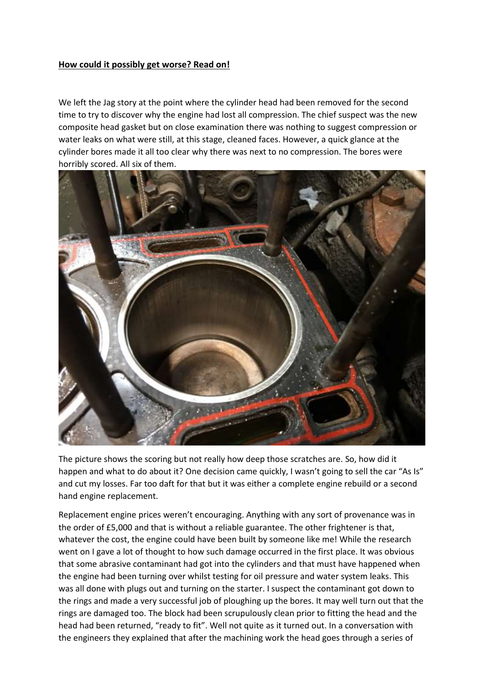## **How could it possibly get worse? Read on!**

We left the Jag story at the point where the cylinder head had been removed for the second time to try to discover why the engine had lost all compression. The chief suspect was the new composite head gasket but on close examination there was nothing to suggest compression or water leaks on what were still, at this stage, cleaned faces. However, a quick glance at the cylinder bores made it all too clear why there was next to no compression. The bores were horribly scored. All six of them.



The picture shows the scoring but not really how deep those scratches are. So, how did it happen and what to do about it? One decision came quickly, I wasn't going to sell the car "As Is" and cut my losses. Far too daft for that but it was either a complete engine rebuild or a second hand engine replacement.

Replacement engine prices weren't encouraging. Anything with any sort of provenance was in the order of £5,000 and that is without a reliable guarantee. The other frightener is that, whatever the cost, the engine could have been built by someone like me! While the research went on I gave a lot of thought to how such damage occurred in the first place. It was obvious that some abrasive contaminant had got into the cylinders and that must have happened when the engine had been turning over whilst testing for oil pressure and water system leaks. This was all done with plugs out and turning on the starter. I suspect the contaminant got down to the rings and made a very successful job of ploughing up the bores. It may well turn out that the rings are damaged too. The block had been scrupulously clean prior to fitting the head and the head had been returned, "ready to fit". Well not quite as it turned out. In a conversation with the engineers they explained that after the machining work the head goes through a series of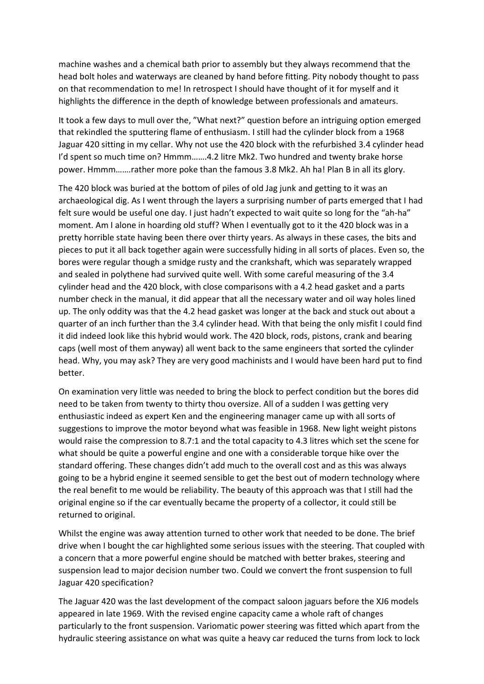machine washes and a chemical bath prior to assembly but they always recommend that the head bolt holes and waterways are cleaned by hand before fitting. Pity nobody thought to pass on that recommendation to me! In retrospect I should have thought of it for myself and it highlights the difference in the depth of knowledge between professionals and amateurs.

It took a few days to mull over the, "What next?" question before an intriguing option emerged that rekindled the sputtering flame of enthusiasm. I still had the cylinder block from a 1968 Jaguar 420 sitting in my cellar. Why not use the 420 block with the refurbished 3.4 cylinder head I'd spent so much time on? Hmmm…….4.2 litre Mk2. Two hundred and twenty brake horse power. Hmmm…….rather more poke than the famous 3.8 Mk2. Ah ha! Plan B in all its glory.

The 420 block was buried at the bottom of piles of old Jag junk and getting to it was an archaeological dig. As I went through the layers a surprising number of parts emerged that I had felt sure would be useful one day. I just hadn't expected to wait quite so long for the "ah-ha" moment. Am I alone in hoarding old stuff? When I eventually got to it the 420 block was in a pretty horrible state having been there over thirty years. As always in these cases, the bits and pieces to put it all back together again were successfully hiding in all sorts of places. Even so, the bores were regular though a smidge rusty and the crankshaft, which was separately wrapped and sealed in polythene had survived quite well. With some careful measuring of the 3.4 cylinder head and the 420 block, with close comparisons with a 4.2 head gasket and a parts number check in the manual, it did appear that all the necessary water and oil way holes lined up. The only oddity was that the 4.2 head gasket was longer at the back and stuck out about a quarter of an inch further than the 3.4 cylinder head. With that being the only misfit I could find it did indeed look like this hybrid would work. The 420 block, rods, pistons, crank and bearing caps (well most of them anyway) all went back to the same engineers that sorted the cylinder head. Why, you may ask? They are very good machinists and I would have been hard put to find better.

On examination very little was needed to bring the block to perfect condition but the bores did need to be taken from twenty to thirty thou oversize. All of a sudden I was getting very enthusiastic indeed as expert Ken and the engineering manager came up with all sorts of suggestions to improve the motor beyond what was feasible in 1968. New light weight pistons would raise the compression to 8.7:1 and the total capacity to 4.3 litres which set the scene for what should be quite a powerful engine and one with a considerable torque hike over the standard offering. These changes didn't add much to the overall cost and as this was always going to be a hybrid engine it seemed sensible to get the best out of modern technology where the real benefit to me would be reliability. The beauty of this approach was that I still had the original engine so if the car eventually became the property of a collector, it could still be returned to original.

Whilst the engine was away attention turned to other work that needed to be done. The brief drive when I bought the car highlighted some serious issues with the steering. That coupled with a concern that a more powerful engine should be matched with better brakes, steering and suspension lead to major decision number two. Could we convert the front suspension to full Jaguar 420 specification?

The Jaguar 420 was the last development of the compact saloon jaguars before the XJ6 models appeared in late 1969. With the revised engine capacity came a whole raft of changes particularly to the front suspension. Variomatic power steering was fitted which apart from the hydraulic steering assistance on what was quite a heavy car reduced the turns from lock to lock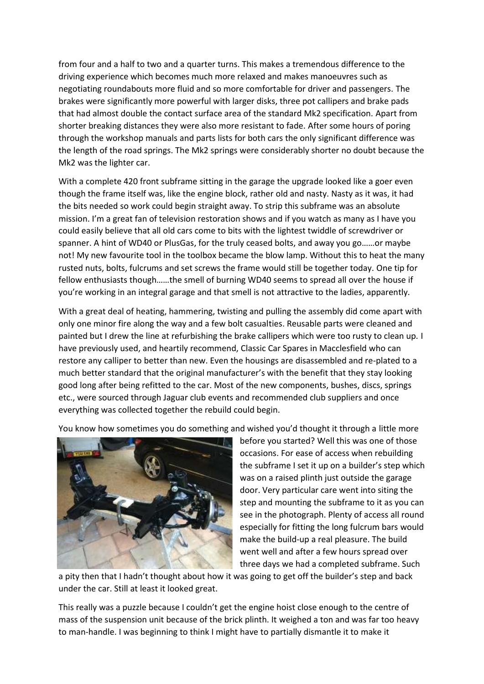from four and a half to two and a quarter turns. This makes a tremendous difference to the driving experience which becomes much more relaxed and makes manoeuvres such as negotiating roundabouts more fluid and so more comfortable for driver and passengers. The brakes were significantly more powerful with larger disks, three pot callipers and brake pads that had almost double the contact surface area of the standard Mk2 specification. Apart from shorter breaking distances they were also more resistant to fade. After some hours of poring through the workshop manuals and parts lists for both cars the only significant difference was the length of the road springs. The Mk2 springs were considerably shorter no doubt because the Mk2 was the lighter car.

With a complete 420 front subframe sitting in the garage the upgrade looked like a goer even though the frame itself was, like the engine block, rather old and nasty. Nasty as it was, it had the bits needed so work could begin straight away. To strip this subframe was an absolute mission. I'm a great fan of television restoration shows and if you watch as many as I have you could easily believe that all old cars come to bits with the lightest twiddle of screwdriver or spanner. A hint of WD40 or PlusGas, for the truly ceased bolts, and away you go……or maybe not! My new favourite tool in the toolbox became the blow lamp. Without this to heat the many rusted nuts, bolts, fulcrums and set screws the frame would still be together today. One tip for fellow enthusiasts though……the smell of burning WD40 seems to spread all over the house if you're working in an integral garage and that smell is not attractive to the ladies, apparently.

With a great deal of heating, hammering, twisting and pulling the assembly did come apart with only one minor fire along the way and a few bolt casualties. Reusable parts were cleaned and painted but I drew the line at refurbishing the brake callipers which were too rusty to clean up. I have previously used, and heartily recommend, Classic Car Spares in Macclesfield who can restore any calliper to better than new. Even the housings are disassembled and re-plated to a much better standard that the original manufacturer's with the benefit that they stay looking good long after being refitted to the car. Most of the new components, bushes, discs, springs etc., were sourced through Jaguar club events and recommended club suppliers and once everything was collected together the rebuild could begin.

You know how sometimes you do something and wished you'd thought it through a little more



before you started? Well this was one of those occasions. For ease of access when rebuilding the subframe I set it up on a builder's step which was on a raised plinth just outside the garage door. Very particular care went into siting the step and mounting the subframe to it as you can see in the photograph. Plenty of access all round especially for fitting the long fulcrum bars would make the build-up a real pleasure. The build went well and after a few hours spread over three days we had a completed subframe. Such

a pity then that I hadn't thought about how it was going to get off the builder's step and back under the car. Still at least it looked great.

This really was a puzzle because I couldn't get the engine hoist close enough to the centre of mass of the suspension unit because of the brick plinth. It weighed a ton and was far too heavy to man-handle. I was beginning to think I might have to partially dismantle it to make it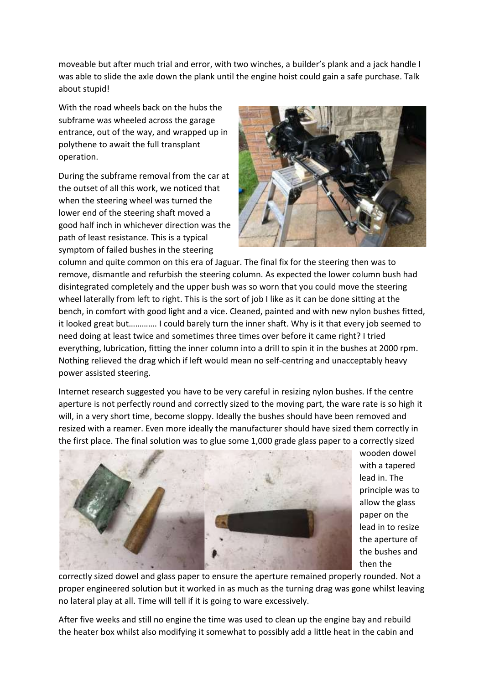moveable but after much trial and error, with two winches, a builder's plank and a jack handle I was able to slide the axle down the plank until the engine hoist could gain a safe purchase. Talk about stupid!

With the road wheels back on the hubs the subframe was wheeled across the garage entrance, out of the way, and wrapped up in polythene to await the full transplant operation.

During the subframe removal from the car at the outset of all this work, we noticed that when the steering wheel was turned the lower end of the steering shaft moved a good half inch in whichever direction was the path of least resistance. This is a typical symptom of failed bushes in the steering



column and quite common on this era of Jaguar. The final fix for the steering then was to remove, dismantle and refurbish the steering column. As expected the lower column bush had disintegrated completely and the upper bush was so worn that you could move the steering wheel laterally from left to right. This is the sort of job I like as it can be done sitting at the bench, in comfort with good light and a vice. Cleaned, painted and with new nylon bushes fitted, it looked great but…………. I could barely turn the inner shaft. Why is it that every job seemed to need doing at least twice and sometimes three times over before it came right? I tried everything, lubrication, fitting the inner column into a drill to spin it in the bushes at 2000 rpm. Nothing relieved the drag which if left would mean no self-centring and unacceptably heavy power assisted steering.

Internet research suggested you have to be very careful in resizing nylon bushes. If the centre aperture is not perfectly round and correctly sized to the moving part, the ware rate is so high it will, in a very short time, become sloppy. Ideally the bushes should have been removed and resized with a reamer. Even more ideally the manufacturer should have sized them correctly in the first place. The final solution was to glue some 1,000 grade glass paper to a correctly sized



wooden dowel with a tapered lead in. The principle was to allow the glass paper on the lead in to resize the aperture of the bushes and then the

correctly sized dowel and glass paper to ensure the aperture remained properly rounded. Not a proper engineered solution but it worked in as much as the turning drag was gone whilst leaving no lateral play at all. Time will tell if it is going to ware excessively.

After five weeks and still no engine the time was used to clean up the engine bay and rebuild the heater box whilst also modifying it somewhat to possibly add a little heat in the cabin and